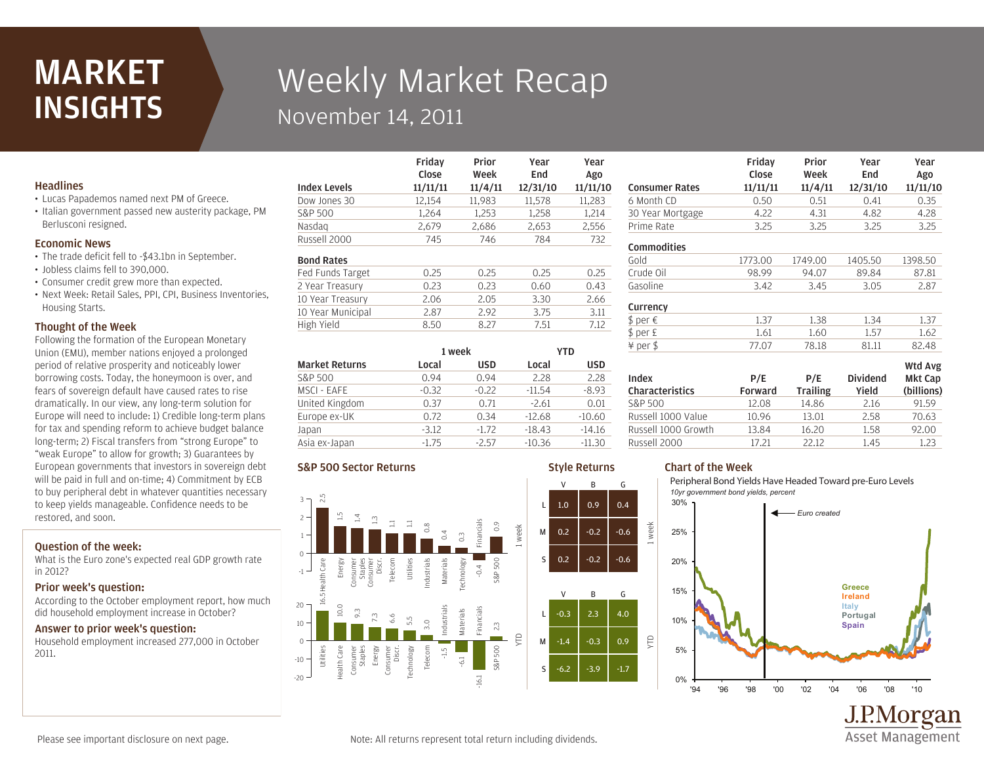# MARKET **INSIGHTS**

# Weekly Market Recap November 14, 2011

Friday

### **Headlines**

- Lucas Papademos named next PM of Greece.
- Italian government passed new austerity package, PM Berlusconi resigned.

#### Economic News

- The trade deficit fell to -\$43.1bn in September.
- Jobless claims fell to 390,000.
- Consumer credit grew more than expected.
- Next Week: Retail Sales, PPI, CPI, Business Inventories, Housing Starts.

### Thought of the Week

Following the formation of the European Monetary Union (EMU), member nations enjoyed a prolonged period of relative prosperity and noticeably lower borrowing costs. Today, the honeymoon is over, and fears of sovereign default have caused rates to rise dramatically. In our view, any long-term solution for Europe will need to include: 1) Credible long-term plans for tax and spending reform to achieve budget balance long-term; 2) Fiscal transfers from "strong Europe" to "weak Europe" to allow for growth; 3) Guarantees by European governments that investors in sovereign debt will be paid in full and on-time; 4) Commitment by ECB to buy peripheral debt in whatever quantities necessary to keep yields manageable. Confidence needs to be restored, and soon.

# Question of the week:

What is the Euro zone's expected real GDP growth rate in 2012?

### Prior week's question:

According to the October employment report, how much did household employment increase in October?

### Answer to prior week's question:

Household employment increased 277,000 in October 2011.

|                   | .<br>Close | Week   | End    | Ago    |
|-------------------|------------|--------|--------|--------|
|                   |            |        |        |        |
| Dow Jones 30      | 12,154     | 11,983 | 11,578 | 11,283 |
| S&P 500           | 1.264      | 1,253  | 1,258  | 1,214  |
| Nasdag            | 2,679      | 2,686  | 2,653  | 2,556  |
| Russell 2000      | 745        | 746    | 784    | 732    |
| <b>Bond Rates</b> |            |        |        |        |
| Fed Funds Target  | 0.25       | 0.25   | 0.25   | 0.25   |
| 2 Year Treasury   | 0.23       | 0.23   | 0.60   | 0.43   |
| 10 Year Treasury  | 2.06       | 2.05   | 3.30   | 2.66   |
| 10 Year Municipal | 2.87       | 2.92   | 3.75   | 3.11   |
| High Yield        | 8.50       | 8.27   | 7.51   | 7.12   |
|                   |            |        |        |        |

Drior

Year

Year

Style Returns

V B G

V B G

| <b>Market Returns</b> | 1 week  |            | YTD      |          |
|-----------------------|---------|------------|----------|----------|
|                       | Local   | <b>USD</b> | Local    | usd      |
| S&P 500               | 0.94    | 0.94       | 2.28     | 2.28     |
| MSCI - EAFE           | $-0.32$ | $-0.22$    | $-11.54$ | $-8.93$  |
| United Kingdom        | 0.37    | 0.71       | $-2.61$  | 0.01     |
| Europe ex-UK          | 0.72    | 0.34       | $-12.68$ | $-10.60$ |
| Japan                 | $-3.12$ | $-1.72$    | $-18.43$ | $-14.16$ |
| Asia ex-Japan         | $-1.75$ | $-2.57$    | $-10.36$ | $-11.30$ |

### S&P 500 Sector Returns



#### Prime Rate 3.25 3.25 3.25 3.25 30 Year Mortgage 4.22 4.31 4.82 4.28 6 Month CD 0.50 0.51 0.41 0.35 Consumer Rates 11/11/11 11/4/11 12/31/10 11/11/10 Friday Close Prior Week Year End Year Ago Gasoline 3.42 3.45 3.05 2.87 Crude Oil 98.99 94.07 89.84 87.81 Gold 1773.00 1749.00 1405.50 1398.50 Commodities  $$ per E$  1.61 1.60 1.57 1.62  $$ per \in 1.37$  1.38 1.34 1.37 Currency

| Index<br><b>Characteristics</b> | P/E<br>Forward | P/E<br><b>Trailing</b> | <b>Dividend</b><br>Yield | Wtd Avg<br><b>Mkt Cap</b><br>(billions) |
|---------------------------------|----------------|------------------------|--------------------------|-----------------------------------------|
| S&P 500                         | 12.08          | 14.86                  | 2.16                     | 91.59                                   |
| Russell 1000 Value              | 10.96          | 13.01                  | 2.58                     | 70.63                                   |
| Russell 1000 Growth             | 13.84          | 16.20                  | 1.58                     | 92.00                                   |
| Russell 2000                    | 17.21          | 22.12                  | 1.45                     | 1.23                                    |

¥ per \$ 77.07 78.18 81.11 82.48

# Chart of the Week

week

YTD

Peripheral Bond Yields Have Headed Toward pre-Euro Levels *10yr government bond yields, percent*



J.P.Morgan **Asset Management**